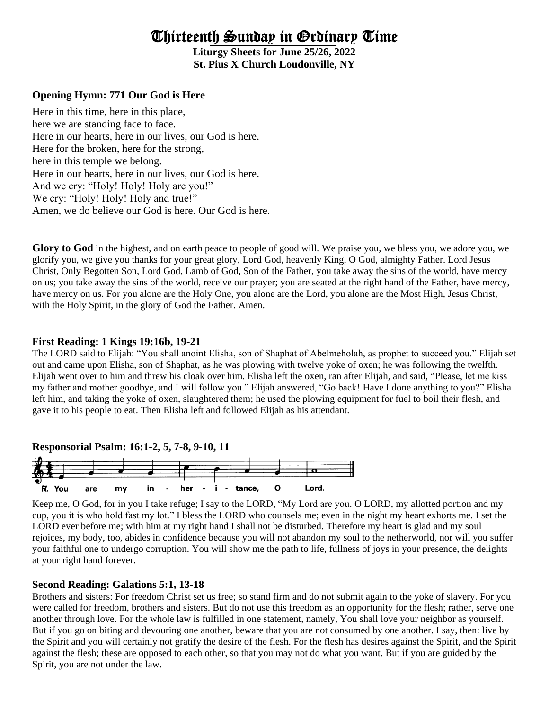# Thirteenth Sunday in Ordinary Time

**Liturgy Sheets for June 25/26, 2022 St. Pius X Church Loudonville, NY**

### **Opening Hymn: 771 Our God is Here**

Here in this time, here in this place, here we are standing face to face. Here in our hearts, here in our lives, our God is here. Here for the broken, here for the strong, here in this temple we belong. Here in our hearts, here in our lives, our God is here. And we cry: "Holy! Holy! Holy are you!" We cry: "Holy! Holy! Holy and true!" Amen, we do believe our God is here. Our God is here.

**Glory to God** in the highest, and on earth peace to people of good will. We praise you, we bless you, we adore you, we glorify you, we give you thanks for your great glory, Lord God, heavenly King, O God, almighty Father. Lord Jesus Christ, Only Begotten Son, Lord God, Lamb of God, Son of the Father, you take away the sins of the world, have mercy on us; you take away the sins of the world, receive our prayer; you are seated at the right hand of the Father, have mercy, have mercy on us. For you alone are the Holy One, you alone are the Lord, you alone are the Most High, Jesus Christ, with the Holy Spirit, in the glory of God the Father. Amen.

#### **First Reading: 1 Kings 19:16b, 19-21**

The LORD said to Elijah: "You shall anoint Elisha, son of Shaphat of Abelmeholah, as prophet to succeed you." Elijah set out and came upon Elisha, son of Shaphat, as he was plowing with twelve yoke of oxen; he was following the twelfth. Elijah went over to him and threw his cloak over him. Elisha left the oxen, ran after Elijah, and said, "Please, let me kiss my father and mother goodbye, and I will follow you." Elijah answered, "Go back! Have I done anything to you?" Elisha left him, and taking the yoke of oxen, slaughtered them; he used the plowing equipment for fuel to boil their flesh, and gave it to his people to eat. Then Elisha left and followed Elijah as his attendant.

#### **Responsorial Psalm: 16:1-2, 5, 7-8, 9-10, 11**



Keep me, O God, for in you I take refuge; I say to the LORD, "My Lord are you. O LORD, my allotted portion and my cup, you it is who hold fast my lot." I bless the LORD who counsels me; even in the night my heart exhorts me. I set the LORD ever before me; with him at my right hand I shall not be disturbed. Therefore my heart is glad and my soul rejoices, my body, too, abides in confidence because you will not abandon my soul to the netherworld, nor will you suffer your faithful one to undergo corruption. You will show me the path to life, fullness of joys in your presence, the delights at your right hand forever.

#### **Second Reading: Galations 5:1, 13-18**

Brothers and sisters: For freedom Christ set us free; so stand firm and do not submit again to the yoke of slavery. For you were called for freedom, brothers and sisters. But do not use this freedom as an opportunity for the flesh; rather, serve one another through love. For the whole law is fulfilled in one statement, namely, You shall love your neighbor as yourself. But if you go on biting and devouring one another, beware that you are not consumed by one another. I say, then: live by the Spirit and you will certainly not gratify the desire of the flesh. For the flesh has desires against the Spirit, and the Spirit against the flesh; these are opposed to each other, so that you may not do what you want. But if you are guided by the Spirit, you are not under the law.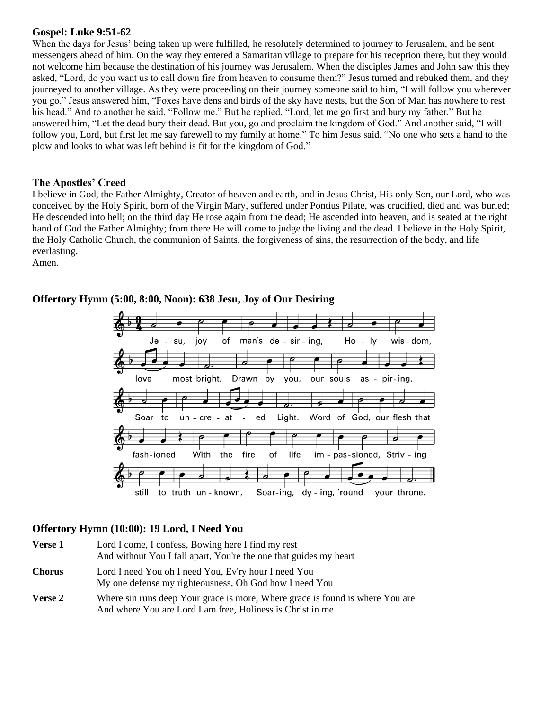# **Gospel: Luke 9:51-62**

When the days for Jesus' being taken up were fulfilled, he resolutely determined to journey to Jerusalem, and he sent messengers ahead of him. On the way they entered a Samaritan village to prepare for his reception there, but they would not welcome him because the destination of his journey was Jerusalem. When the disciples James and John saw this they asked, "Lord, do you want us to call down fire from heaven to consume them?" Jesus turned and rebuked them, and they journeyed to another village. As they were proceeding on their journey someone said to him, "I will follow you wherever you go." Jesus answered him, "Foxes have dens and birds of the sky have nests, but the Son of Man has nowhere to rest his head." And to another he said, "Follow me." But he replied, "Lord, let me go first and bury my father." But he answered him, "Let the dead bury their dead. But you, go and proclaim the kingdom of God." And another said, "I will follow you, Lord, but first let me say farewell to my family at home." To him Jesus said, "No one who sets a hand to the plow and looks to what was left behind is fit for the kingdom of God."

## **The Apostles' Creed**

I believe in God, the Father Almighty, Creator of heaven and earth, and in Jesus Christ, His only Son, our Lord, who was conceived by the Holy Spirit, born of the Virgin Mary, suffered under Pontius Pilate, was crucified, died and was buried; He descended into hell; on the third day He rose again from the dead; He ascended into heaven, and is seated at the right hand of God the Father Almighty; from there He will come to judge the living and the dead. I believe in the Holy Spirit, the Holy Catholic Church, the communion of Saints, the forgiveness of sins, the resurrection of the body, and life everlasting.

Amen.



## **Offertory Hymn (5:00, 8:00, Noon): 638 Jesu, Joy of Our Desiring**

## **Offertory Hymn (10:00): 19 Lord, I Need You**

| Verse 1        | Lord I come, I confess, Bowing here I find my rest<br>And without You I fall apart, You're the one that guides my heart                     |
|----------------|---------------------------------------------------------------------------------------------------------------------------------------------|
| <b>Chorus</b>  | Lord I need You oh I need You, Ev'ry hour I need You<br>My one defense my righteousness, Oh God how I need You                              |
| <b>Verse 2</b> | Where sin runs deep Your grace is more, Where grace is found is where You are<br>And where You are Lord I am free, Holiness is Christ in me |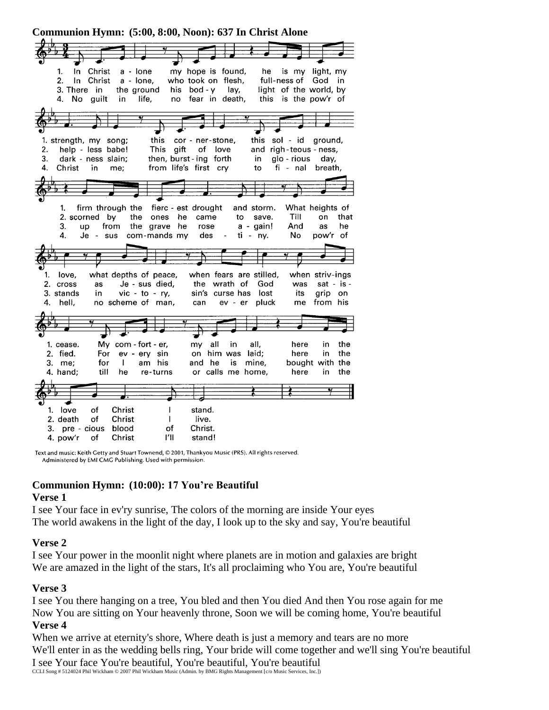

Text and music: Keith Getty and Stuart Townend, © 2001, Thankyou Music (PRS). All rights reserved. Administered by EMI CMG Publishing. Used with permission.

# **Communion Hymn: (10:00): 17 You're Beautiful**

#### **Verse 1**

I see Your face in ev'ry sunrise, The colors of the morning are inside Your eyes The world awakens in the light of the day, I look up to the sky and say, You're beautiful

## **Verse 2**

I see Your power in the moonlit night where planets are in motion and galaxies are bright We are amazed in the light of the stars, It's all proclaiming who You are, You're beautiful

# **Verse 3**

I see You there hanging on a tree, You bled and then You died And then You rose again for me Now You are sitting on Your heavenly throne, Soon we will be coming home, You're beautiful **Verse 4**

When we arrive at eternity's shore, Where death is just a memory and tears are no more We'll enter in as the wedding bells ring, Your bride will come together and we'll sing You're beautiful

I see Your face You're beautiful, You're beautiful, You're beautiful CCLI Song # 5124024 Phil Wickham © 2007 Phil Wickham Music (Admin. by BMG Rights Management [c/o Music Services, Inc.])